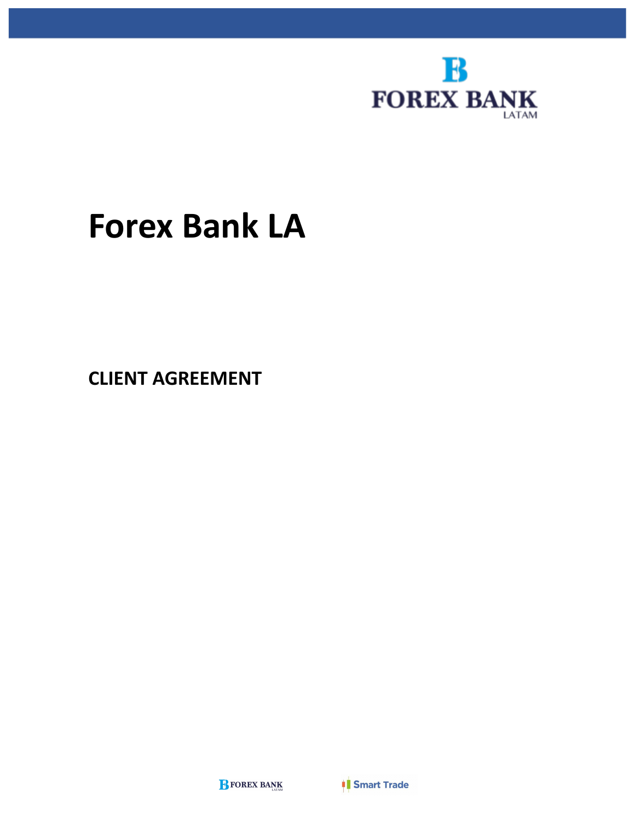

# **Forex Bank LA**

**CLIENT AGREEMENT**

**BEOREX BANK** 

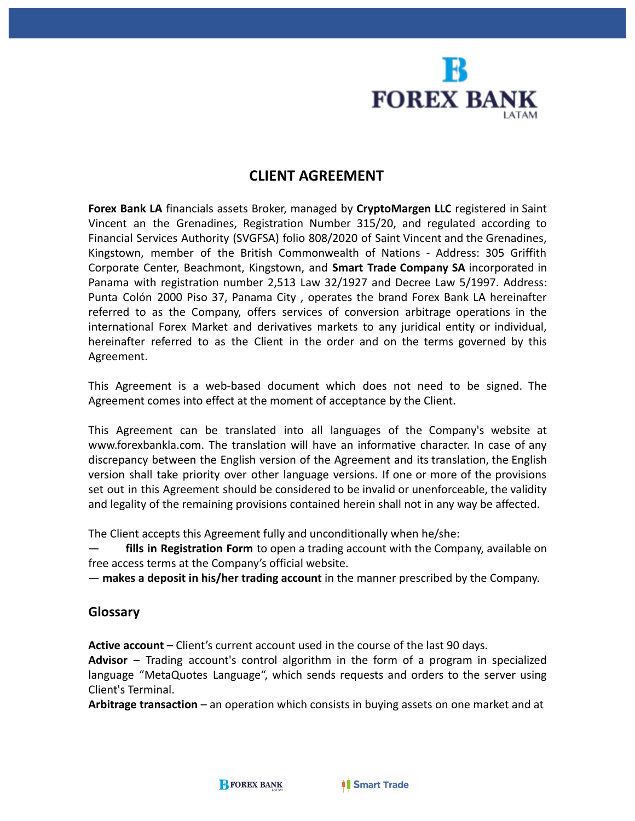

# **CLIENT AGREEMENT**

**Forex Bank LA** financials assets Broker, managed by **CryptoMargen LLC** registered in Saint Vincent an the Grenadines, Registration Number 315/20, and regulated according to Financial Services Authority (SVGFSA) folio 808/2020 of Saint Vincent and the Grenadines, Kingstown, member of the British Commonwealth of Nations - Address: 305 Griffith Corporate Center, Beachmont, Kingstown, and **Smart Trade Company SA** incorporated in Panama with registration number 2,513 Law 32/1927 and Decree Law 5/1997. Address: Punta Colón 2000 Piso 37, Panama City , operates the brand Forex Bank LA hereinafter referred to as the Company, offers services of conversion arbitrage operations in the international Forex Market and derivatives markets to any juridical entity or individual, hereinafter referred to as the Client in the order and on the terms governed by this Agreement.

This Agreement is a web-based document which does not need to be signed. The Agreement comes into effect at the moment of acceptance by the Client.

This Agreement can be translated into all languages of the Company's website at [www.forexbankla.com.](http://www.forexbankla.com/) The translation will have an informative character. In case of any discrepancy between the English version of the Agreement and its translation, the English version shall take priority over other language versions. If one or more of the provisions set out in this Agreement should be considered to be invalid or unenforceable, the validity and legality of the remaining provisions contained herein shall not in any way be affected.

The Client accepts this Agreement fully and unconditionally when he/she:

— **fills in Registration Form** to open a trading account with the Company, available on free access terms at the Company's official website.

— **makes a deposit in his/her trading account** in the manner prescribed by the Company.

## **Glossary**

**Active account** – Client's current account used in the course of the last 90 days.

**Advisor** – Trading account's control algorithm in the form of a program in specialized language "MetaQuotes Language", which sends requests and orders to the server using Client's Terminal.

**Arbitrage transaction** – an operation which consists in buying assets on one market and at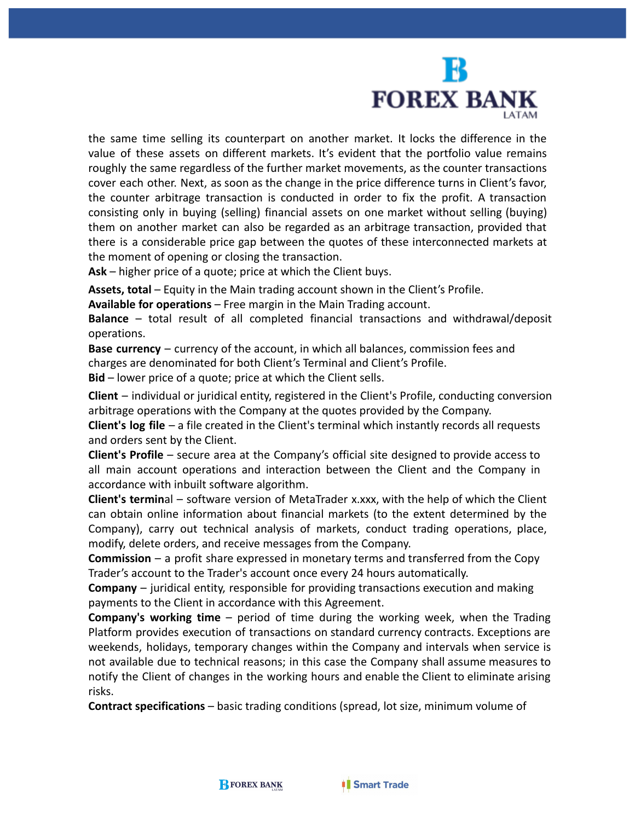

the same time selling its counterpart on another market. It locks the difference in the value of these assets on different markets. It's evident that the portfolio value remains roughly the same regardless of the further market movements, as the counter transactions cover each other. Next, as soon as the change in the price difference turns in Client's favor, the counter arbitrage transaction is conducted in order to fix the profit. A transaction consisting only in buying (selling) financial assets on one market without selling (buying) them on another market can also be regarded as an arbitrage transaction, provided that there is a considerable price gap between the quotes of these interconnected markets at the moment of opening or closing the transaction.

**Ask** – higher price of a quote; price at which the Client buys.

**Assets, total** – Equity in the Main trading account shown in the Client's Profile.

**Available for operations** – Free margin in the Main Trading account.

**Balance** – total result of all completed financial transactions and withdrawal/deposit operations.

**Base currency** – currency of the account, in which all balances, commission fees and charges are denominated for both Client's Terminal and Client's Profile.

**Bid** – lower price of a quote; price at which the Client sells.

**Client** – individual or juridical entity, registered in the Client's Profile, conducting conversion arbitrage operations with the Company at the quotes provided by the Company.

**Client's log file** – a file created in the Client's terminal which instantly records all requests and orders sent by the Client.

**Client's Profile** – secure area at the Company's official site designed to provide access to all main account operations and interaction between the Client and the Company in accordance with inbuilt software algorithm.

**Client's termin**al – software version of MetaTrader x.xxx, with the help of which the Client can obtain online information about financial markets (to the extent determined by the Company), carry out technical analysis of markets, conduct trading operations, place, modify, delete orders, and receive messages from the Company.

**Commission** – a profit share expressed in monetary terms and transferred from the Copy Trader's account to the Trader's account once every 24 hours automatically.

**Company** – juridical entity, responsible for providing transactions execution and making payments to the Client in accordance with this Agreement.

**Company's working time** – period of time during the working week, when the Trading Platform provides execution of transactions on standard currency contracts. Exceptions are weekends, holidays, temporary changes within the Company and intervals when service is not available due to technical reasons; in this case the Company shall assume measures to notify the Client of changes in the working hours and enable the Client to eliminate arising risks.

**Contract specifications** – basic trading conditions (spread, lot size, minimum volume of

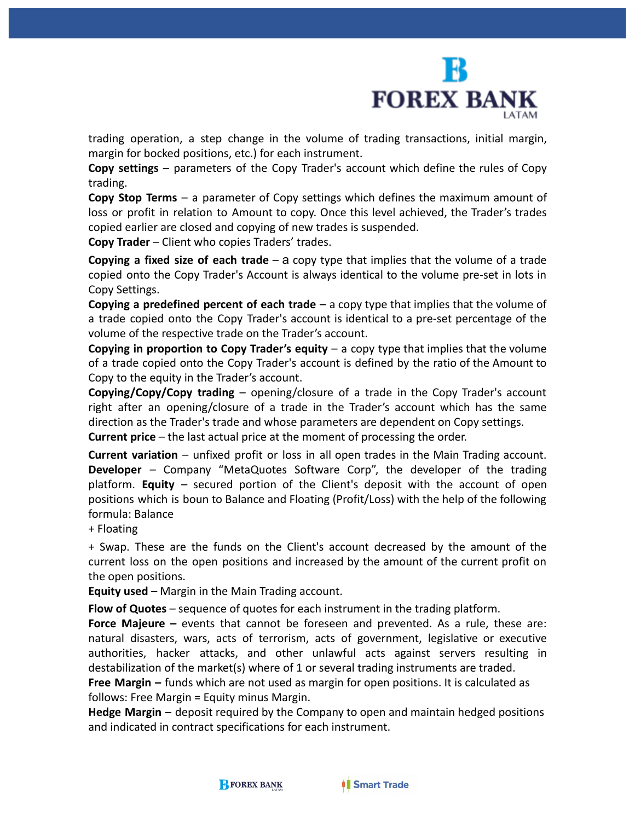

trading operation, a step change in the volume of trading transactions, initial margin, margin for bocked positions, etc.) for each instrument.

**Copy settings** – parameters of the Copy Trader's account which define the rules of Copy trading.

**Copy Stop Terms** – a parameter of Copy settings which defines the maximum amount of loss or profit in relation to Amount to copy. Once this level achieved, the Trader's trades copied earlier are closed and copying of new trades is suspended.

**Copy Trader** – Client who copies Traders' trades.

**Copying a fixed size of each trade** – а copy type that implies that the volume of a trade copied onto the Copy Trader's Account is always identical to the volume pre-set in lots in Copy Settings.

**Copying a predefined percent of each trade** – a copy type that implies that the volume of a trade copied onto the Copy Trader's account is identical to a pre-set percentage of the volume of the respective trade on the Trader's account.

**Copying in proportion to Copy Trader's equity** – a copy type that implies that the volume of a trade copied onto the Copy Trader's account is defined by the ratio of the Amount to Copy to the equity in the Trader's account.

**Copying/Copy/Copy trading** – opening/closure of a trade in the Copy Trader's account right after an opening/closure of a trade in the Trader's account which has the same direction as the Trader's trade and whose parameters are dependent on Copy settings.

**Current price** – the last actual price at the moment of processing the order.

**Current variation** – unfixed profit or loss in all open trades in the Main Trading account. **Developer** – Company "MetaQuotes Software Corp", the developer of the trading platform. **Equity** – secured portion of the Client's deposit with the account of open positions which is boun to Balance and Floating (Profit/Loss) with the help of the following formula: Balance

+ Floating

+ Swap. These are the funds on the Client's account decreased by the amount of the current loss on the open positions and increased by the amount of the current profit on the open positions.

**Equity used** – Margin in the Main Trading account.

**Flow of Quotes** – sequence of quotes for each instrument in the trading platform.

**Force Majeure –** events that cannot be foreseen and prevented. As a rule, these are: natural disasters, wars, acts of terrorism, acts of government, legislative or executive authorities, hacker attacks, and other unlawful acts against servers resulting in destabilization of the market(s) where of 1 or several trading instruments are traded.

**Free Margin –** funds which are not used as margin for open positions. It is calculated as follows: Free Margin = Equity minus Margin.

**Hedge Margin** – deposit required by the Company to open and maintain hedged positions and indicated in contract specifications for each instrument.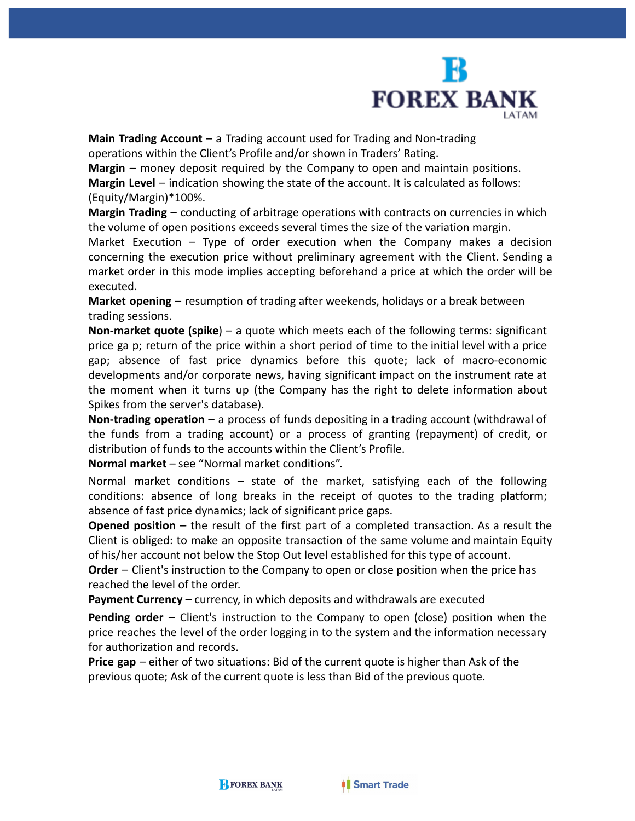

**Main Trading Account** – a Trading account used for Trading and Non-trading operations within the Client's Profile and/or shown in Traders' Rating.

**Margin** – money deposit required by the Company to open and maintain positions. **Margin Level** – indication showing the state of the account. It is calculated as follows: (Equity/Margin)\*100%.

**Margin Trading** – conducting of arbitrage operations with contracts on currencies in which the volume of open positions exceeds several times the size of the variation margin.

Market Execution – Type of order execution when the Company makes a decision concerning the execution price without preliminary agreement with the Client. Sending a market order in this mode implies accepting beforehand a price at which the order will be executed.

**Market opening** – resumption of trading after weekends, holidays or a break between trading sessions.

**Non-market quote (spike**) – a quote which meets each of the following terms: significant price ga p; return of the price within a short period of time to the initial level with a price gap; absence of fast price dynamics before this quote; lack of macro-economic developments and/or corporate news, having significant impact on the instrument rate at the moment when it turns up (the Company has the right to delete information about Spikes from the server's database).

**Non-trading operation** – a process of funds depositing in a trading account (withdrawal of the funds from a trading account) or a process of granting (repayment) of credit, or distribution of funds to the accounts within the Client's Profile.

**Normal market** – see "Normal market conditions".

Normal market conditions – state of the market, satisfying each of the following conditions: absence of long breaks in the receipt of quotes to the trading platform; absence of fast price dynamics; lack of significant price gaps.

**Opened position** – the result of the first part of a completed transaction. As a result the Client is obliged: to make an opposite transaction of the same volume and maintain Equity of his/her account not below the Stop Out level established for this type of account.

**Order** – Client's instruction to the Company to open or close position when the price has reached the level of the order.

**Payment Currency** – currency, in which deposits and withdrawals are executed

**Pending order** – Client's instruction to the Company to open (close) position when the price reaches the level of the order logging in to the system and the information necessary for authorization and records.

**Price gap** – either of two situations: Bid of the current quote is higher than Ask of the previous quote; Ask of the current quote is less than Bid of the previous quote.

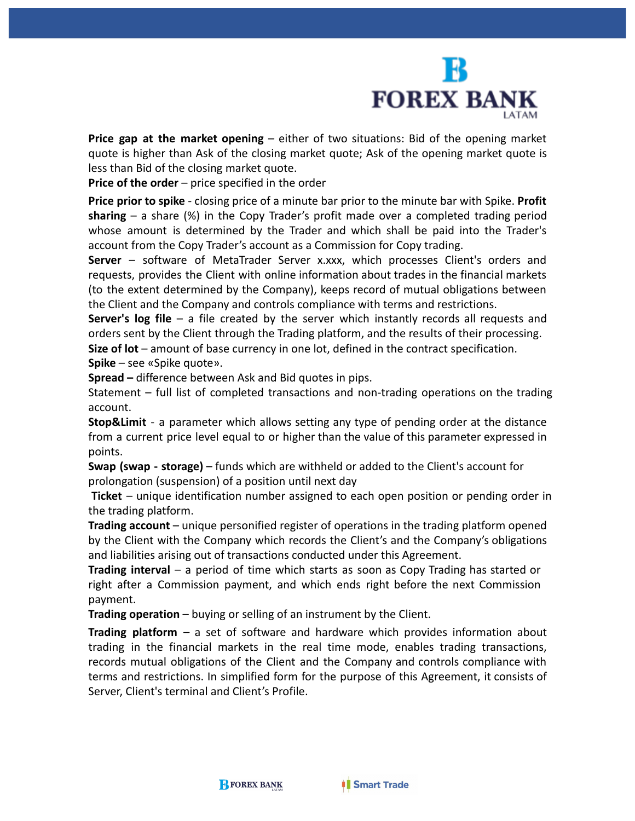

**Price gap at the market opening** – either of two situations: Bid of the opening market quote is higher than Ask of the closing market quote; Ask of the opening market quote is less than Bid of the closing market quote.

**Price of the order** – price specified in the order

**Price prior to spike** - closing price of a minute bar prior to the minute bar with Spike. **Profit sharing** – a share (%) in the Copy Trader's profit made over a completed trading period whose amount is determined by the Trader and which shall be paid into the Trader's account from the Copy Trader's account as a Commission for Copy trading.

**Server** – software of MetaTrader Server x.xxx, which processes Client's orders and requests, provides the Client with online information about trades in the financial markets (to the extent determined by the Company), keeps record of mutual obligations between the Client and the Company and controls compliance with terms and restrictions.

**Server's log file** – a file created by the server which instantly records all requests and orders sent by the Client through the Trading platform, and the results of their processing.

**Size of lot** – amount of base currency in one lot, defined in the contract specification. **Spike** – see «Spike quote».

**Spread –** difference between Ask and Bid quotes in pips.

Statement – full list of completed transactions and non-trading operations on the trading account.

**Stop&Limit** - a parameter which allows setting any type of pending order at the distance from a current price level equal to or higher than the value of this parameter expressed in points.

**Swap (swap - storage)** – funds which are withheld or added to the Client's account for prolongation (suspension) of a position until next day

**Ticket** – unique identification number assigned to each open position or pending order in the trading platform.

**Trading account** – unique personified register of operations in the trading platform opened by the Client with the Company which records the Client's and the Company's obligations and liabilities arising out of transactions conducted under this Agreement.

**Trading interval** – a period of time which starts as soon as Copy Trading has started or right after a Commission payment, and which ends right before the next Commission payment.

**Trading operation** – buying or selling of an instrument by the Client.

**Trading platform** – a set of software and hardware which provides information about trading in the financial markets in the real time mode, enables trading transactions, records mutual obligations of the Client and the Company and controls compliance with terms and restrictions. In simplified form for the purpose of this Agreement, it consists of Server, Client's terminal and Client's Profile.

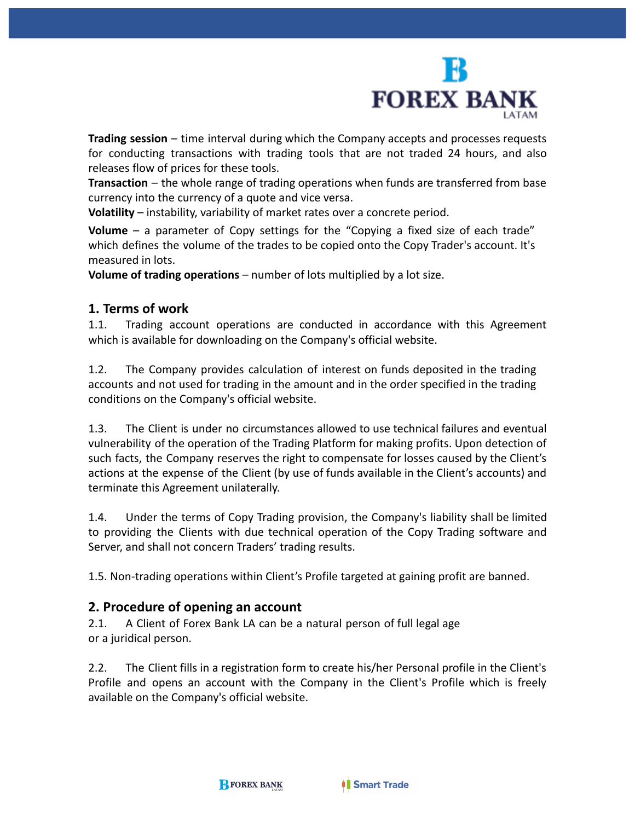

**Trading session** – time interval during which the Company accepts and processes requests for conducting transactions with trading tools that are not traded 24 hours, and also releases flow of prices for these tools.

**Transaction** – the whole range of trading operations when funds are transferred from base currency into the currency of a quote and vice versa.

**Volatility** – instability, variability of market rates over a concrete period.

**Volume** – a parameter of Copy settings for the "Copying a fixed size of each trade" which defines the volume of the trades to be copied onto the Copy Trader's account. It's measured in lots.

**Volume of trading operations** – number of lots multiplied by a lot size.

#### **1. Terms of work**

1.1. Trading account operations are conducted in accordance with this Agreement which is available for downloading on the Company's official website.

1.2. The Company provides calculation of interest on funds deposited in the trading accounts and not used for trading in the amount and in the order specified in the trading conditions on the Company's official website.

1.3. The Client is under no circumstances allowed to use technical failures and eventual vulnerability of the operation of the Trading Platform for making profits. Upon detection of such facts, the Company reserves the right to compensate for losses caused by the Client's actions at the expense of the Client (by use of funds available in the Client's accounts) and terminate this Agreement unilaterally.

1.4. Under the terms of Copy Trading provision, the Company's liability shall be limited to providing the Clients with due technical operation of the Copy Trading software and Server, and shall not concern Traders' trading results.

1.5. Non-trading operations within Client's Profile targeted at gaining profit are banned.

## **2. Procedure of opening an account**

2.1. A Client of Forex Bank LA can be a natural person of full legal age or a juridical person.

2.2. The Client fills in a registration form to create his/her Personal profile in the Client's Profile and opens an account with the Company in the Client's Profile which is freely available on the Company's official website.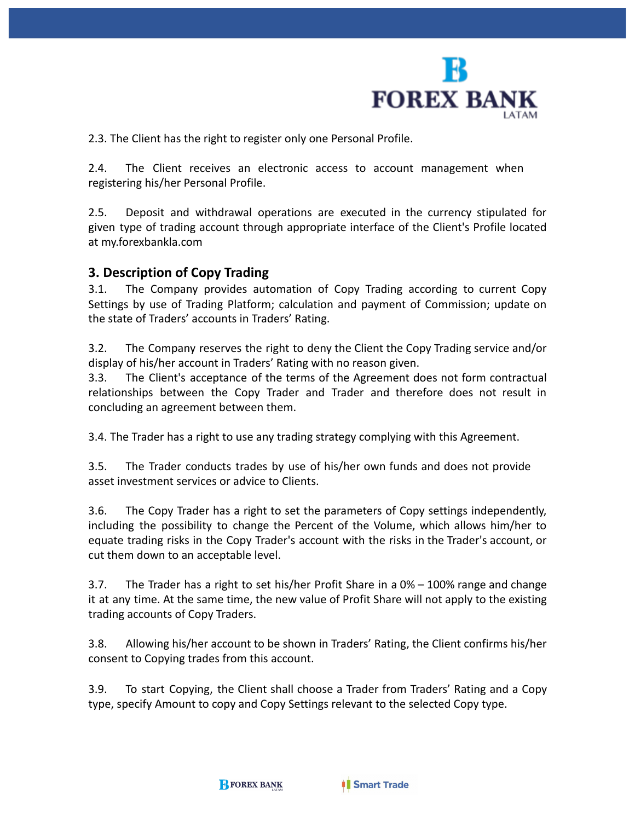

2.3. The Client has the right to register only one Personal Profile.

2.4. The Client receives an electronic access to account management when registering his/her Personal Profile.

2.5. Deposit and withdrawal operations are executed in the currency stipulated for given type of trading account through appropriate interface of the Client's Profile located at my.forexbankla.com

#### **3. Description of Copy Trading**

3.1. The Company provides automation of Copy Trading according to current Copy Settings by use of Trading Platform; calculation and payment of Commission; update on the state of Traders' accounts in Traders' Rating.

3.2. The Company reserves the right to deny the Client the Copy Trading service and/or display of his/her account in Traders' Rating with no reason given.

3.3. The Client's acceptance of the terms of the Agreement does not form contractual relationships between the Copy Trader and Trader and therefore does not result in concluding an agreement between them.

3.4. The Trader has a right to use any trading strategy complying with this Agreement.

3.5. The Trader conducts trades by use of his/her own funds and does not provide asset investment services or advice to Clients.

3.6. The Copy Trader has a right to set the parameters of Copy settings independently, including the possibility to change the Percent of the Volume, which allows him/her to equate trading risks in the Copy Trader's account with the risks in the Trader's account, or cut them down to an acceptable level.

3.7. The Trader has a right to set his/her Profit Share in a 0% – 100% range and change it at any time. At the same time, the new value of Profit Share will not apply to the existing trading accounts of Copy Traders.

3.8. Allowing his/her account to be shown in Traders' Rating, the Client confirms his/her consent to Copying trades from this account.

3.9. To start Copying, the Client shall choose a Trader from Traders' Rating and a Copy type, specify Amount to copy and Copy Settings relevant to the selected Copy type.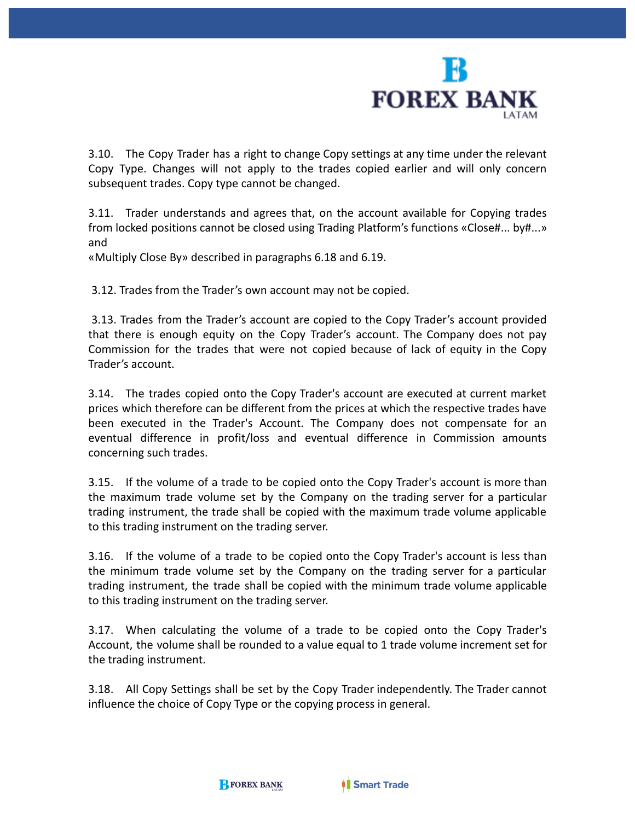

3.10. The Copy Trader has a right to change Copy settings at any time under the relevant Copy Type. Changes will not apply to the trades copied earlier and will only concern subsequent trades. Copy type cannot be changed.

3.11. Trader understands and agrees that, on the account available for Copying trades from locked positions cannot be closed using Trading Platform's functions «Close#... by#...» and

«Multiply Close By» described in paragraphs 6.18 and 6.19.

3.12. Trades from the Trader's own account may not be copied.

3.13. Trades from the Trader's account are copied to the Copy Trader's account provided that there is enough equity on the Copy Trader's account. The Company does not pay Commission for the trades that were not copied because of lack of equity in the Copy Trader's account.

3.14. The trades copied onto the Copy Trader's account are executed at current market prices which therefore can be different from the prices at which the respective trades have been executed in the Trader's Account. The Company does not compensate for an eventual difference in profit/loss and eventual difference in Commission amounts concerning such trades.

3.15. If the volume of a trade to be copied onto the Copy Trader's account is more than the maximum trade volume set by the Company on the trading server for a particular trading instrument, the trade shall be copied with the maximum trade volume applicable to this trading instrument on the trading server.

3.16. If the volume of a trade to be copied onto the Copy Trader's account is less than the minimum trade volume set by the Company on the trading server for a particular trading instrument, the trade shall be copied with the minimum trade volume applicable to this trading instrument on the trading server.

3.17. When calculating the volume of a trade to be copied onto the Copy Trader's Account, the volume shall be rounded to a value equal to 1 trade volume increment set for the trading instrument.

3.18. All Copy Settings shall be set by the Copy Trader independently. The Trader cannot influence the choice of Copy Type or the copying process in general.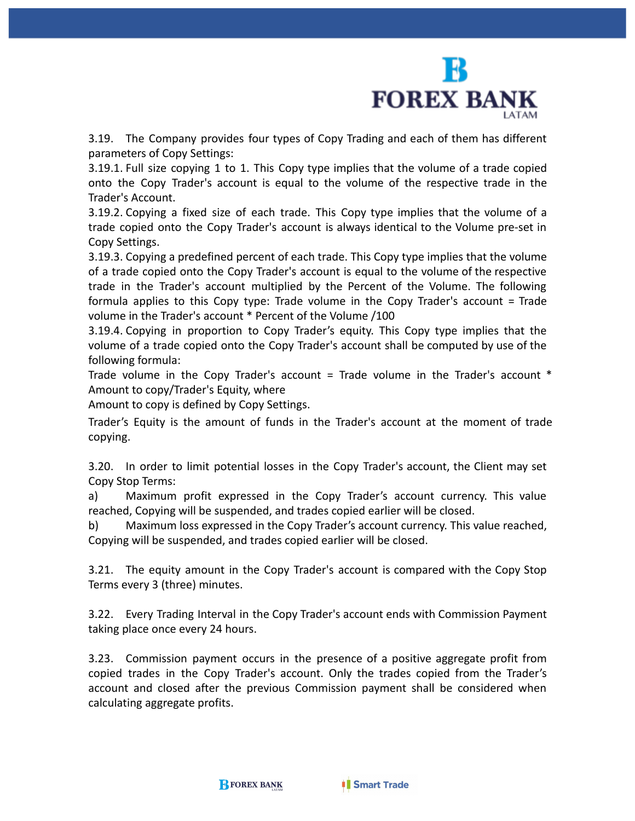

3.19. The Company provides four types of Copy Trading and each of them has different parameters of Copy Settings:

3.19.1. Full size copying 1 to 1. This Copy type implies that the volume of a trade copied onto the Copy Trader's account is equal to the volume of the respective trade in the Trader's Account.

3.19.2. Copying a fixed size of each trade. This Copy type implies that the volume of a trade copied onto the Copy Trader's account is always identical to the Volume pre-set in Copy Settings.

3.19.3. Copying a predefined percent of each trade. This Copy type implies that the volume of a trade copied onto the Copy Trader's account is equal to the volume of the respective trade in the Trader's account multiplied by the Percent of the Volume. The following formula applies to this Copy type: Trade volume in the Copy Trader's account = Trade volume in the Trader's account \* Percent of the Volume /100

3.19.4. Copying in proportion to Copy Trader's equity. This Copy type implies that the volume of a trade copied onto the Copy Trader's account shall be computed by use of the following formula:

Trade volume in the Copy Trader's account = Trade volume in the Trader's account  $*$ Amount to copy/Trader's Equity, where

Amount to copy is defined by Copy Settings.

Trader's Equity is the amount of funds in the Trader's account at the moment of trade copying.

3.20. In order to limit potential losses in the Copy Trader's account, the Client may set Copy Stop Terms:

a) Maximum profit expressed in the Copy Trader's account currency. This value reached, Copying will be suspended, and trades copied earlier will be closed.

b) Maximum loss expressed in the Copy Trader's account currency. This value reached, Copying will be suspended, and trades copied earlier will be closed.

3.21. The equity amount in the Copy Trader's account is compared with the Copy Stop Terms every 3 (three) minutes.

3.22. Every Trading Interval in the Copy Trader's account ends with Commission Payment taking place once every 24 hours.

3.23. Commission payment occurs in the presence of a positive aggregate profit from copied trades in the Copy Trader's account. Only the trades copied from the Trader's account and closed after the previous Commission payment shall be considered when calculating aggregate profits.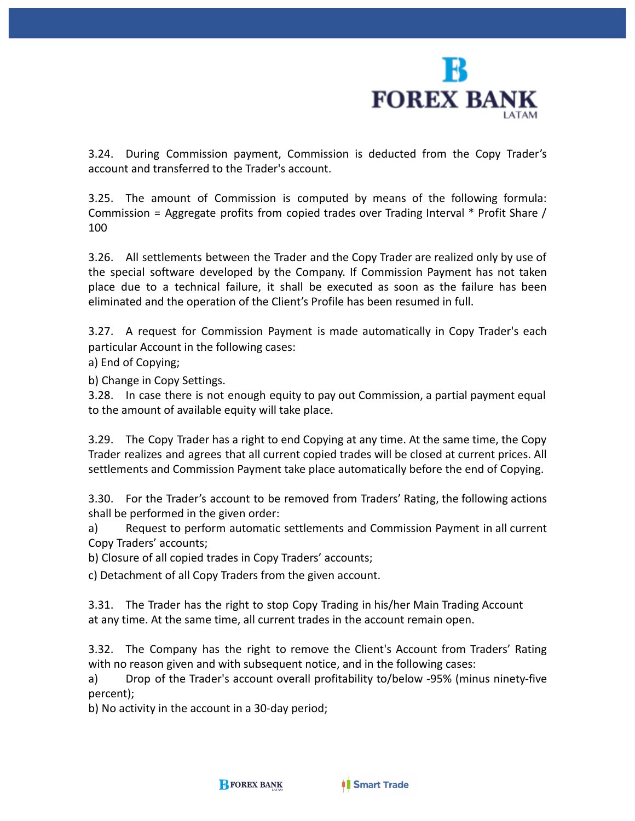

3.24. During Commission payment, Commission is deducted from the Copy Trader's account and transferred to the Trader's account.

3.25. The amount of Commission is computed by means of the following formula: Commission = Aggregate profits from copied trades over Trading Interval \* Profit Share / 100

3.26. All settlements between the Trader and the Copy Trader are realized only by use of the special software developed by the Company. If Commission Payment has not taken place due to a technical failure, it shall be executed as soon as the failure has been eliminated and the operation of the Client's Profile has been resumed in full.

3.27. A request for Commission Payment is made automatically in Copy Trader's each particular Account in the following cases:

a) End of Copying;

b) Change in Copy Settings.

3.28. In case there is not enough equity to pay out Commission, a partial payment equal to the amount of available equity will take place.

3.29. The Copy Trader has a right to end Copying at any time. At the same time, the Copy Trader realizes and agrees that all current copied trades will be closed at current prices. All settlements and Commission Payment take place automatically before the end of Copying.

3.30. For the Trader's account to be removed from Traders' Rating, the following actions shall be performed in the given order:

a) Request to perform automatic settlements and Commission Payment in all current Copy Traders' accounts;

b) Closure of all copied trades in Copy Traders' accounts;

c) Detachment of all Copy Traders from the given account.

3.31. The Trader has the right to stop Copy Trading in his/her Main Trading Account at any time. At the same time, all current trades in the account remain open.

3.32. The Company has the right to remove the Client's Account from Traders' Rating with no reason given and with subsequent notice, and in the following cases:

a) Drop of the Trader's account overall profitability to/below -95% (minus ninety-five percent);

b) No activity in the account in a 30-day period;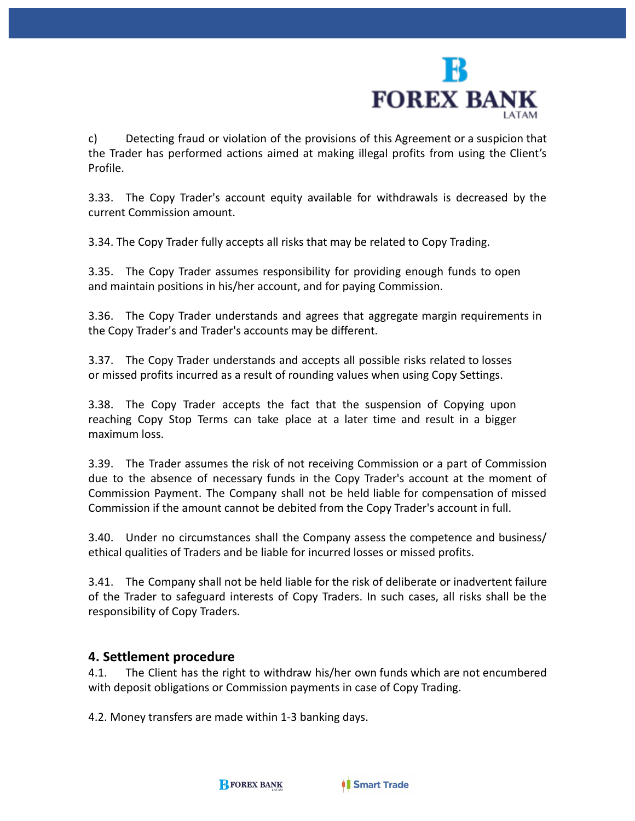

c) Detecting fraud or violation of the provisions of this Agreement or a suspicion that the Trader has performed actions aimed at making illegal profits from using the Client's Profile.

3.33. The Copy Trader's account equity available for withdrawals is decreased by the current Commission amount.

3.34. The Copy Trader fully accepts all risks that may be related to Copy Trading.

3.35. The Copy Trader assumes responsibility for providing enough funds to open and maintain positions in his/her account, and for paying Commission.

3.36. The Copy Trader understands and agrees that aggregate margin requirements in the Copy Trader's and Trader's accounts may be different.

3.37. The Copy Trader understands and accepts all possible risks related to losses or missed profits incurred as a result of rounding values when using Copy Settings.

3.38. The Copy Trader accepts the fact that the suspension of Copying upon reaching Copy Stop Terms can take place at a later time and result in a bigger maximum loss.

3.39. The Trader assumes the risk of not receiving Commission or a part of Commission due to the absence of necessary funds in the Copy Trader's account at the moment of Commission Payment. The Company shall not be held liable for compensation of missed Commission if the amount cannot be debited from the Copy Trader's account in full.

3.40. Under no circumstances shall the Company assess the competence and business/ ethical qualities of Traders and be liable for incurred losses or missed profits.

3.41. The Company shall not be held liable for the risk of deliberate or inadvertent failure of the Trader to safeguard interests of Copy Traders. In such cases, all risks shall be the responsibility of Copy Traders.

#### **4. Settlement procedure**

4.1. The Client has the right to withdraw his/her own funds which are not encumbered with deposit obligations or Commission payments in case of Copy Trading.

4.2. Money transfers are made within 1-3 banking days.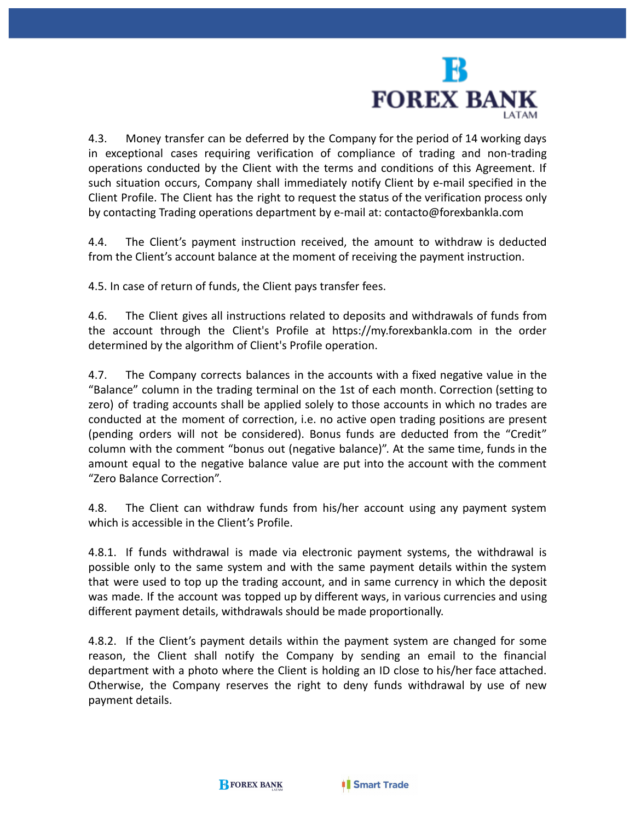

4.3. Money transfer can be deferred by the Company for the period of 14 working days in exceptional cases requiring verification of compliance of trading and non-trading operations conducted by the Client with the terms and conditions of this Agreement. If such situation occurs, Company shall immediately notify Client by e-mail specified in the Client Profile. The Client has the right to request the status of the verification process only by contacting Trading operations department by e-mail at: [contacto@forexbankla.com](mailto:contacto@forexbankla.com)

4.4. The Client's payment instruction received, the amount to withdraw is deducted from the Client's account balance at the moment of receiving the payment instruction.

4.5. In case of return of funds, the Client pays transfer fees.

4.6. The Client gives all instructions related to deposits and withdrawals of funds from the account through the Client's Profile at https://my.forexbankla.com in the order determined by the algorithm of Client's Profile operation.

4.7. The Company corrects balances in the accounts with a fixed negative value in the "Balance" column in the trading terminal on the 1st of each month. Correction (setting to zero) of trading accounts shall be applied solely to those accounts in which no trades are conducted at the moment of correction, i.e. no active open trading positions are present (pending orders will not be considered). Bonus funds are deducted from the "Credit" column with the comment "bonus out (negative balance)". At the same time, funds in the amount equal to the negative balance value are put into the account with the comment "Zero Balance Correction".

4.8. The Client can withdraw funds from his/her account using any payment system which is accessible in the Client's Profile.

4.8.1. If funds withdrawal is made via electronic payment systems, the withdrawal is possible only to the same system and with the same payment details within the system that were used to top up the trading account, and in same currency in which the deposit was made. If the account was topped up by different ways, in various currencies and using different payment details, withdrawals should be made proportionally.

4.8.2. If the Client's payment details within the payment system are changed for some reason, the Client shall notify the Company by sending an email to the financial department with a photo where the Client is holding an ID close to his/her face attached. Otherwise, the Company reserves the right to deny funds withdrawal by use of new payment details.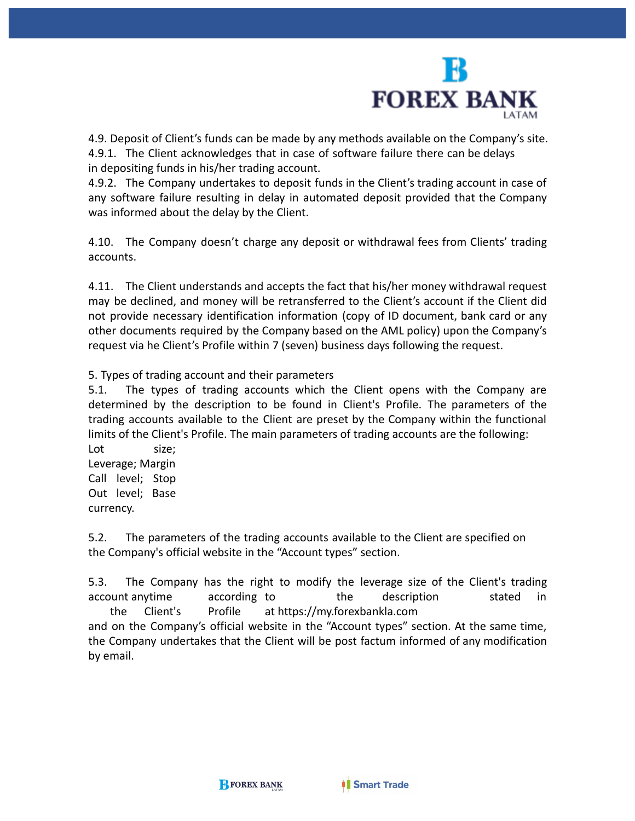

4.9. Deposit of Client's funds can be made by any methods available on the Company's site. 4.9.1. The Client acknowledges that in case of software failure there can be delays in depositing funds in his/her trading account.

4.9.2. The Company undertakes to deposit funds in the Client's trading account in case of any software failure resulting in delay in automated deposit provided that the Company was informed about the delay by the Client.

4.10. The Company doesn't charge any deposit or withdrawal fees from Clients' trading accounts.

4.11. The Client understands and accepts the fact that his/her money withdrawal request may be declined, and money will be retransferred to the Client's account if the Client did not provide necessary identification information (copy of ID document, bank card or any other documents required by the Company based on the AML policy) upon the Company's request via he Client's Profile within 7 (seven) business days following the request.

5. Types of trading account and their parameters

5.1. The types of trading accounts which the Client opens with the Company are determined by the description to be found in Client's Profile. The parameters of the trading accounts available to the Client are preset by the Company within the functional limits of the Client's Profile. The main parameters of trading accounts are the following:

Lot size: Leverage; Margin Call level; Stop Out level; Base currency.

5.2. The parameters of the trading accounts available to the Client are specified on the Company's official website in the "Account types" section.

5.3. The Company has the right to modify the leverage size of the Client's trading account anytime according to the description stated in the Client's Profile at https://my.forexbankla.com

and on the Company's official website in the "Account types" section. At the same time, the Company undertakes that the Client will be post factum informed of any modification by email.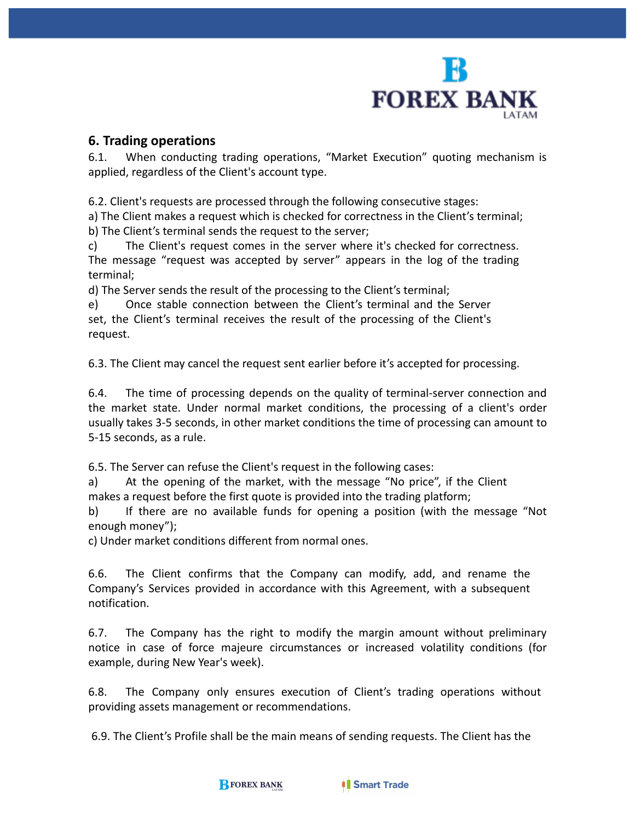

#### **6. Trading operations**

6.1. When conducting trading operations, "Market Execution" quoting mechanism is applied, regardless of the Client's account type.

6.2. Client's requests are processed through the following consecutive stages:

a) The Client makes a request which is checked for correctness in the Client's terminal; b) The Client's terminal sends the request to the server;

c) The Client's request comes in the server where it's checked for correctness. The message "request was accepted by server" appears in the log of the trading terminal;

d) The Server sends the result of the processing to the Client's terminal;

e) Once stable connection between the Client's terminal and the Server set, the Client's terminal receives the result of the processing of the Client's request.

6.3. The Client may cancel the request sent earlier before it's accepted for processing.

6.4. The time of processing depends on the quality of terminal-server connection and the market state. Under normal market conditions, the processing of a client's order usually takes 3-5 seconds, in other market conditions the time of processing can amount to 5-15 seconds, as a rule.

6.5. The Server can refuse the Client's request in the following cases:

a) At the opening of the market, with the message "No price", if the Client makes a request before the first quote is provided into the trading platform;

b) If there are no available funds for opening a position (with the message "Not enough money");

c) Under market conditions different from normal ones.

6.6. The Client confirms that the Company can modify, add, and rename the Company's Services provided in accordance with this Agreement, with a subsequent notification.

6.7. The Company has the right to modify the margin amount without preliminary notice in case of force majeure circumstances or increased volatility conditions (for example, during New Year's week).

6.8. The Company only ensures execution of Client's trading operations without providing assets management or recommendations.

6.9. The Client's Profile shall be the main means of sending requests. The Client has the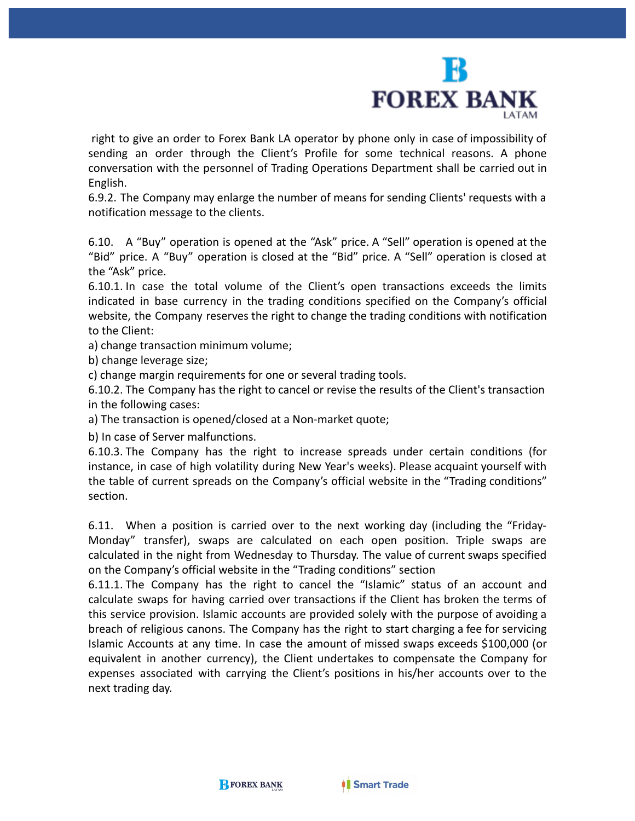

right to give an order to Forex Bank LA operator by phone only in case of impossibility of sending an order through the Client's Profile for some technical reasons. A phone conversation with the personnel of Trading Operations Department shall be carried out in English.

6.9.2. The Company may enlarge the number of means for sending Clients' requests with a notification message to the clients.

6.10. A "Buy" operation is opened at the "Ask" price. A "Sell" operation is opened at the "Bid" price. A "Buy" operation is closed at the "Bid" price. A "Sell" operation is closed at the "Ask" price.

6.10.1. In case the total volume of the Client's open transactions exceeds the limits indicated in base currency in the trading conditions specified on the Company's official website, the Company reserves the right to change the trading conditions with notification to the Client:

a) change transaction minimum volume;

b) change leverage size;

c) change margin requirements for one or several trading tools.

6.10.2. The Company has the right to cancel or revise the results of the Client's transaction in the following cases:

a) The transaction is opened/closed at a Non-market quote;

b) In case of Server malfunctions.

6.10.3. The Company has the right to increase spreads under certain conditions (for instance, in case of high volatility during New Year's weeks). Please acquaint yourself with the table of current spreads on the Company's official website in the "Trading conditions" section.

6.11. When a position is carried over to the next working day (including the "Friday-Monday" transfer), swaps are calculated on each open position. Triple swaps are calculated in the night from Wednesday to Thursday. The value of current swaps specified on the Company's official website in the "Trading conditions" section

6.11.1. The Company has the right to cancel the "Islamic" status of an account and calculate swaps for having carried over transactions if the Client has broken the terms of this service provision. Islamic accounts are provided solely with the purpose of avoiding a breach of religious canons. The Company has the right to start charging a fee for servicing Islamic Accounts at any time. In case the amount of missed swaps exceeds \$100,000 (or equivalent in another currency), the Client undertakes to compensate the Company for expenses associated with carrying the Client's positions in his/her accounts over to the next trading day.

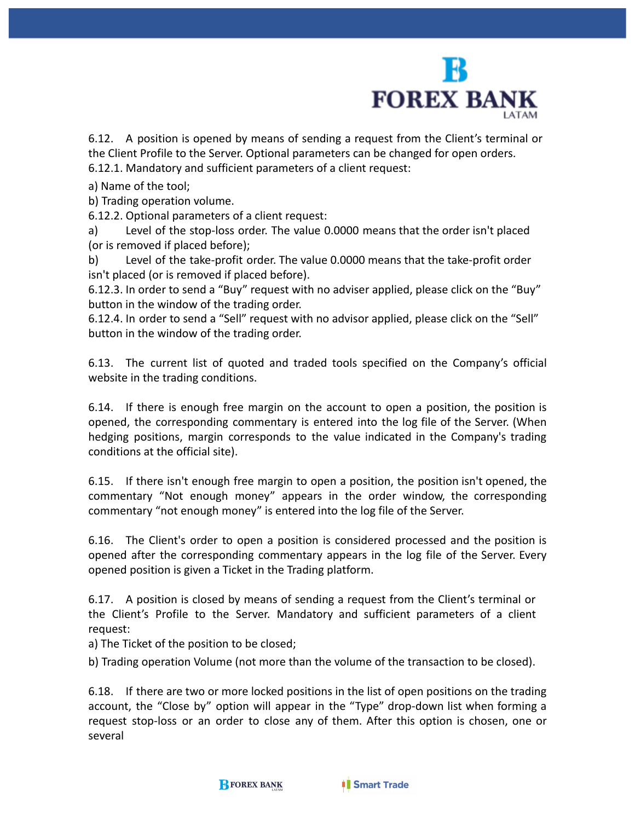

6.12. A position is opened by means of sending a request from the Client's terminal or the Client Profile to the Server. Optional parameters can be changed for open orders. 6.12.1. Mandatory and sufficient parameters of a client request:

a) Name of the tool;

b) Trading operation volume.

6.12.2. Optional parameters of a client request:

a) Level of the stop-loss order. The value 0.0000 means that the order isn't placed (or is removed if placed before);

b) Level of the take-profit order. The value 0.0000 means that the take-profit order isn't placed (or is removed if placed before).

6.12.3. In order to send a "Buy" request with no adviser applied, please click on the "Buy" button in the window of the trading order.

6.12.4. In order to send a "Sell" request with no advisor applied, please click on the "Sell" button in the window of the trading order.

6.13. The current list of quoted and traded tools specified on the Company's official website in the trading conditions.

6.14. If there is enough free margin on the account to open a position, the position is opened, the corresponding commentary is entered into the log file of the Server. (When hedging positions, margin corresponds to the value indicated in the Company's trading conditions at the official site).

6.15. If there isn't enough free margin to open a position, the position isn't opened, the commentary "Not enough money" appears in the order window, the corresponding commentary "not enough money" is entered into the log file of the Server.

6.16. The Client's order to open a position is considered processed and the position is opened after the corresponding commentary appears in the log file of the Server. Every opened position is given a Ticket in the Trading platform.

6.17. A position is closed by means of sending a request from the Client's terminal or the Client's Profile to the Server. Mandatory and sufficient parameters of a client request:

a) The Ticket of the position to be closed;

b) Trading operation Volume (not more than the volume of the transaction to be closed).

6.18. If there are two or more locked positions in the list of open positions on the trading account, the "Close by" option will appear in the "Type" drop-down list when forming a request stop-loss or an order to close any of them. After this option is chosen, one or several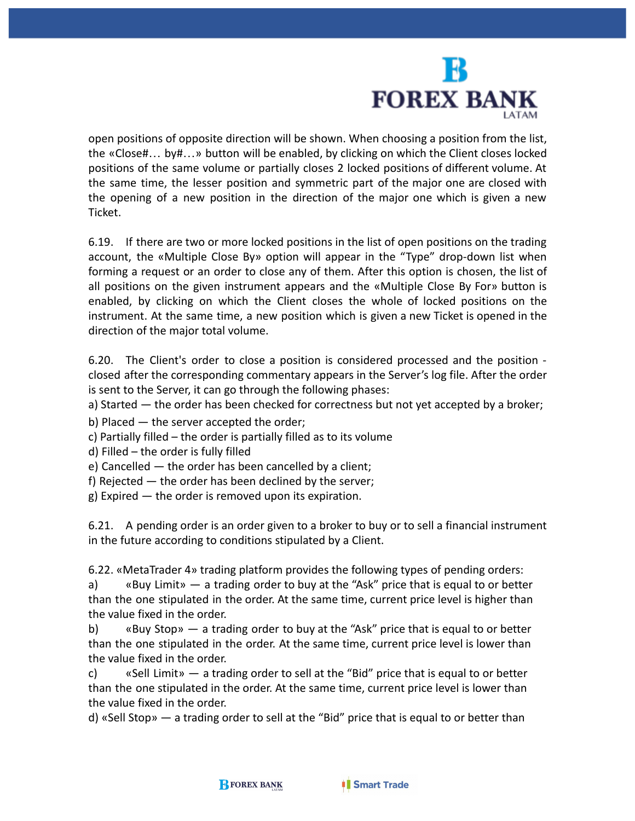

open positions of opposite direction will be shown. When choosing a position from the list, the «Close#… by#…» button will be enabled, by clicking on which the Client closes locked positions of the same volume or partially closes 2 locked positions of different volume. At the same time, the lesser position and symmetric part of the major one are closed with the opening of a new position in the direction of the major one which is given a new Ticket.

6.19. If there are two or more locked positions in the list of open positions on the trading account, the «Multiple Close By» option will appear in the "Type" drop-down list when forming a request or an order to close any of them. After this option is chosen, the list of all positions on the given instrument appears and the «Multiple Close By For» button is enabled, by clicking on which the Client closes the whole of locked positions on the instrument. At the same time, a new position which is given a new Ticket is opened in the direction of the major total volume.

6.20. The Client's order to close a position is considered processed and the position closed after the corresponding commentary appears in the Server's log file. After the order is sent to the Server, it can go through the following phases:

a) Started — the order has been checked for correctness but not yet accepted by a broker;

b) Placed — the server accepted the order;

c) Partially filled – the order is partially filled as to its volume

d) Filled – the order is fully filled

e) Cancelled — the order has been cancelled by a client;

f) Rejected — the order has been declined by the server;

g) Expired — the order is removed upon its expiration.

6.21. A pending order is an order given to a broker to buy or to sell a financial instrument in the future according to conditions stipulated by a Client.

6.22. «MetaTrader 4» trading platform provides the following types of pending orders:

a) «Buy Limit» — a trading order to buy at the "Ask" price that is equal to or better than the one stipulated in the order. At the same time, current price level is higher than the value fixed in the order.

b) «Buy Stop» — a trading order to buy at the "Ask" price that is equal to or better than the one stipulated in the order. At the same time, current price level is lower than the value fixed in the order.

c) «Sell Limit» — a trading order to sell at the "Bid" price that is equal to or better than the one stipulated in the order. At the same time, current price level is lower than the value fixed in the order.

d) «Sell Stop» — a trading order to sell at the "Bid" price that is equal to or better than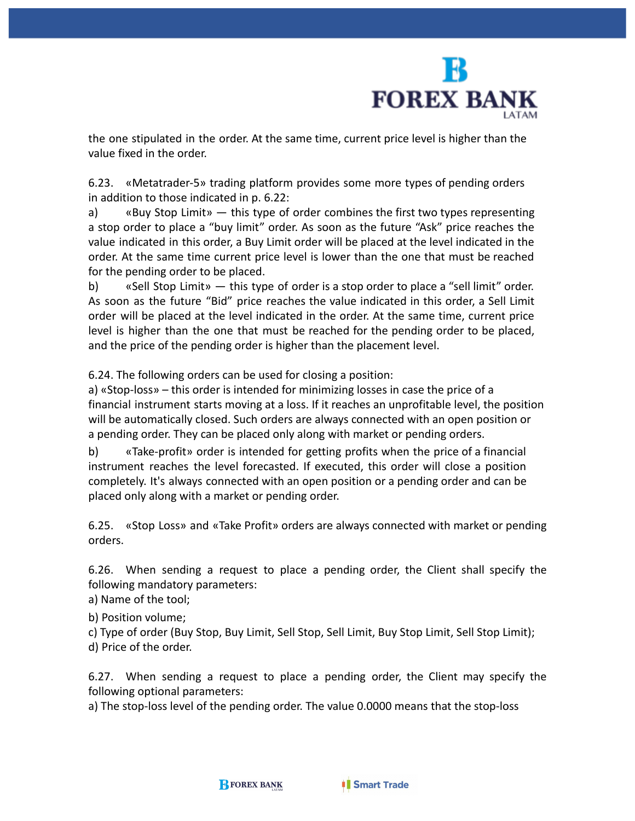

the one stipulated in the order. At the same time, current price level is higher than the value fixed in the order.

6.23. «Metatrader-5» trading platform provides some more types of pending orders in addition to those indicated in p. 6.22:

a) «Buy Stop Limit» — this type of order combines the first two types representing a stop order to place a "buy limit" order. As soon as the future "Ask" price reaches the value indicated in this order, a Buy Limit order will be placed at the level indicated in the order. At the same time current price level is lower than the one that must be reached for the pending order to be placed.

b) «Sell Stop Limit» — this type of order is a stop order to place a "sell limit" order. As soon as the future "Bid" price reaches the value indicated in this order, a Sell Limit order will be placed at the level indicated in the order. At the same time, current price level is higher than the one that must be reached for the pending order to be placed, and the price of the pending order is higher than the placement level.

6.24. The following orders can be used for closing a position:

a) «Stop-loss» – this order is intended for minimizing losses in case the price of a financial instrument starts moving at a loss. If it reaches an unprofitable level, the position will be automatically closed. Such orders are always connected with an open position or a pending order. They can be placed only along with market or pending orders.

b) «Take-profit» order is intended for getting profits when the price of a financial instrument reaches the level forecasted. If executed, this order will close a position completely. It's always connected with an open position or a pending order and can be placed only along with a market or pending order.

6.25. «Stop Loss» and «Take Profit» orders are always connected with market or pending orders.

6.26. When sending a request to place a pending order, the Client shall specify the following mandatory parameters:

a) Name of the tool;

b) Position volume;

c) Type of order (Buy Stop, Buy Limit, Sell Stop, Sell Limit, Buy Stop Limit, Sell Stop Limit);

d) Price of the order.

6.27. When sending a request to place a pending order, the Client may specify the following optional parameters:

a) The stop-loss level of the pending order. The value 0.0000 means that the stop-loss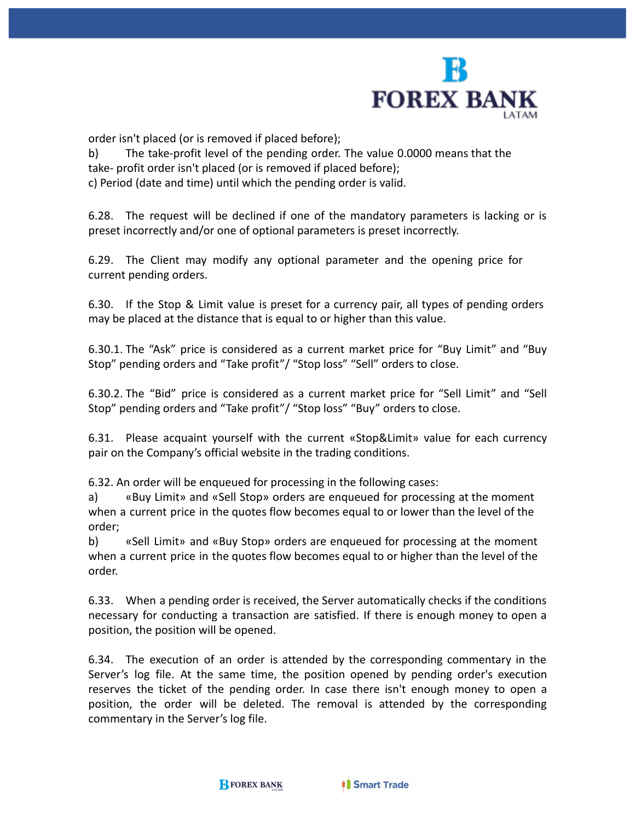

order isn't placed (or is removed if placed before);

b) The take-profit level of the pending order. The value 0.0000 means that the take- profit order isn't placed (or is removed if placed before); c) Period (date and time) until which the pending order is valid.

6.28. The request will be declined if one of the mandatory parameters is lacking or is preset incorrectly and/or one of optional parameters is preset incorrectly.

6.29. The Client may modify any optional parameter and the opening price for current pending orders.

6.30. If the Stop & Limit value is preset for a currency pair, all types of pending orders may be placed at the distance that is equal to or higher than this value.

6.30.1. The "Ask" price is considered as a current market price for "Buy Limit" and "Buy Stop" pending orders and "Take profit"/ "Stop loss" "Sell" orders to close.

6.30.2. The "Bid" price is considered as a current market price for "Sell Limit" and "Sell Stop" pending orders and "Take profit"/ "Stop loss" "Buy" orders to close.

6.31. Please acquaint yourself with the current «Stop&Limit» value for each currency pair on the Company's official website in the trading conditions.

6.32. An order will be enqueued for processing in the following cases:

a) «Buy Limit» and «Sell Stop» orders are enqueued for processing at the moment when a current price in the quotes flow becomes equal to or lower than the level of the order;

b) «Sell Limit» and «Buy Stop» orders are enqueued for processing at the moment when a current price in the quotes flow becomes equal to or higher than the level of the order.

6.33. When a pending order is received, the Server automatically checks if the conditions necessary for conducting a transaction are satisfied. If there is enough money to open a position, the position will be opened.

6.34. The execution of an order is attended by the corresponding commentary in the Server's log file. At the same time, the position opened by pending order's execution reserves the ticket of the pending order. In case there isn't enough money to open a position, the order will be deleted. The removal is attended by the corresponding commentary in the Server's log file.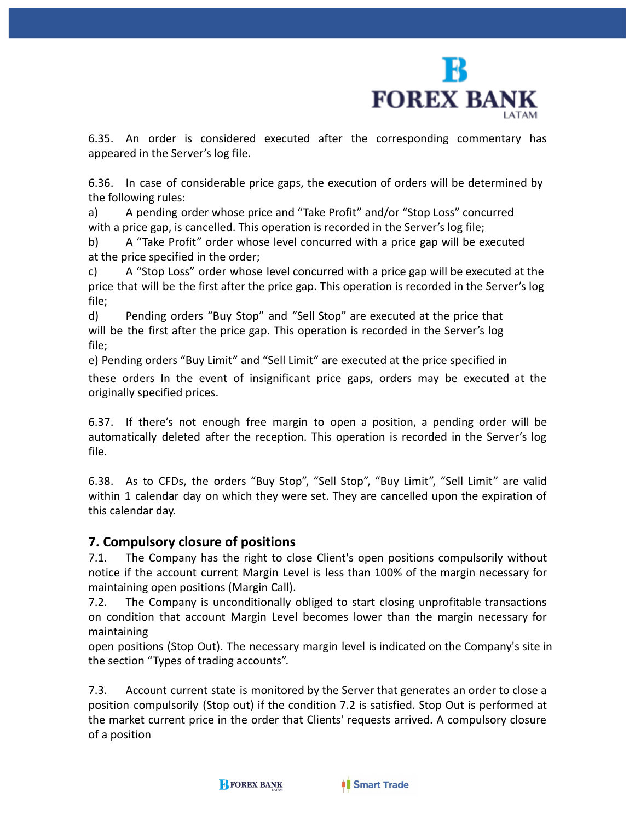

6.35. An order is considered executed after the corresponding commentary has appeared in the Server's log file.

6.36. In case of considerable price gaps, the execution of orders will be determined by the following rules:

a) A pending order whose price and "Take Profit" and/or "Stop Loss" concurred with a price gap, is cancelled. This operation is recorded in the Server's log file;

b) A "Take Profit" order whose level concurred with a price gap will be executed at the price specified in the order;

c) A "Stop Loss" order whose level concurred with a price gap will be executed at the price that will be the first after the price gap. This operation is recorded in the Server's log file;

d) Pending orders "Buy Stop" and "Sell Stop" are executed at the price that will be the first after the price gap. This operation is recorded in the Server's log file;

e) Pending orders "Buy Limit" and "Sell Limit" are executed at the price specified in

these orders In the event of insignificant price gaps, orders may be executed at the originally specified prices.

6.37. If there's not enough free margin to open a position, a pending order will be automatically deleted after the reception. This operation is recorded in the Server's log file.

6.38. As to CFDs, the orders "Buy Stop", "Sell Stop", "Buy Limit", "Sell Limit" are valid within 1 calendar day on which they were set. They are cancelled upon the expiration of this calendar day.

## **7. Compulsory closure of positions**

7.1. The Company has the right to close Client's open positions compulsorily without notice if the account current Margin Level is less than 100% of the margin necessary for maintaining open positions (Margin Call).

7.2. The Company is unconditionally obliged to start closing unprofitable transactions on condition that account Margin Level becomes lower than the margin necessary for maintaining

open positions (Stop Out). The necessary margin level is indicated on the Company's site in the section "Types of trading accounts".

7.3. Account current state is monitored by the Server that generates an order to close a position compulsorily (Stop out) if the condition 7.2 is satisfied. Stop Out is performed at the market current price in the order that Clients' requests arrived. A compulsory closure of a position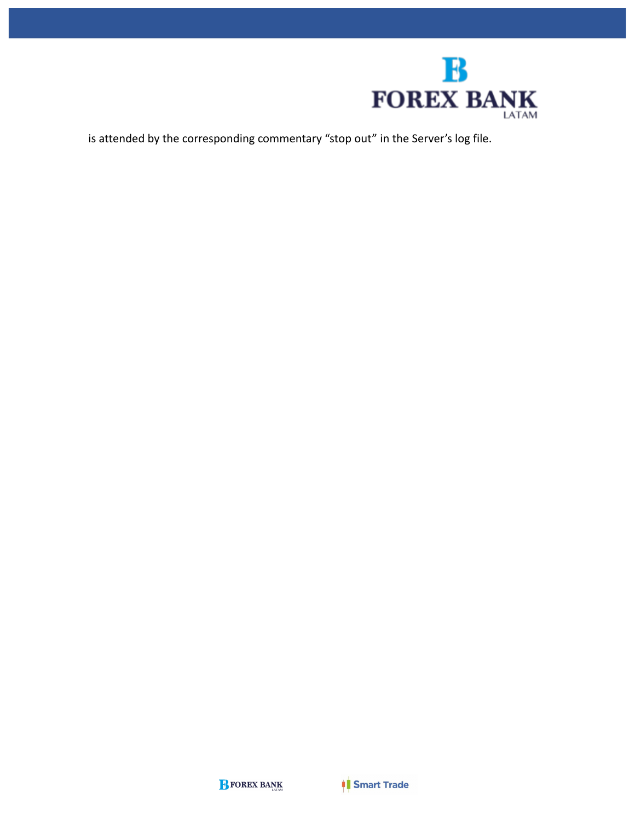

is attended by the corresponding commentary "stop out" in the Server's log file.

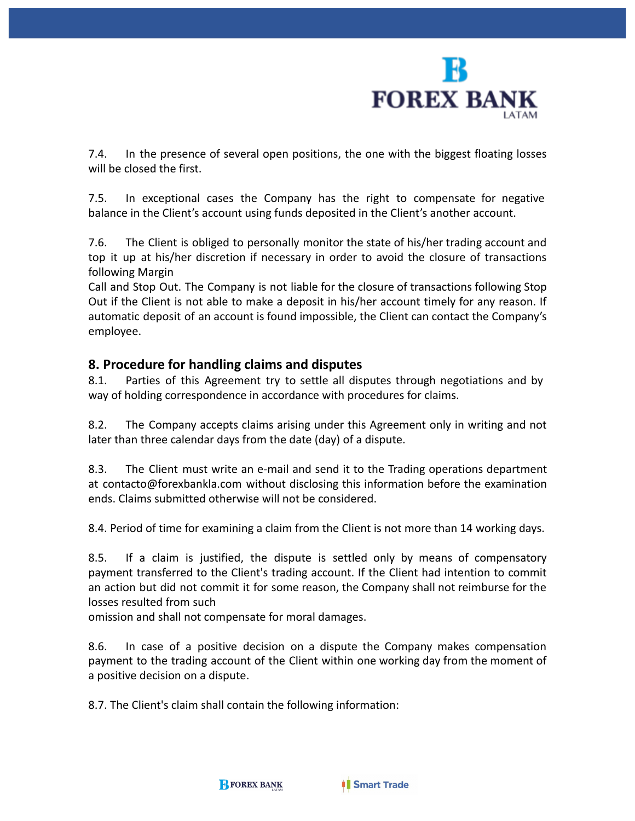

7.4. In the presence of several open positions, the one with the biggest floating losses will be closed the first.

7.5. In exceptional cases the Company has the right to compensate for negative balance in the Client's account using funds deposited in the Client's another account.

7.6. The Client is obliged to personally monitor the state of his/her trading account and top it up at his/her discretion if necessary in order to avoid the closure of transactions following Margin

Call and Stop Out. The Company is not liable for the closure of transactions following Stop Out if the Client is not able to make a deposit in his/her account timely for any reason. If automatic deposit of an account is found impossible, the Client can contact the Company's employee.

## **8. Procedure for handling claims and disputes**

8.1. Parties of this Agreement try to settle all disputes through negotiations and by way of holding correspondence in accordance with procedures for claims.

8.2. The Company accepts claims arising under this Agreement only in writing and not later than three calendar days from the date (day) of a dispute.

8.3. The Client must write an e-mail and send it to the Trading operations department at [contacto@forexbankla.com](mailto:contacto@forexbankla.com) without disclosing this information before the examination ends. Claims submitted otherwise will not be considered.

8.4. Period of time for examining a claim from the Client is not more than 14 working days.

8.5. If a claim is justified, the dispute is settled only by means of compensatory payment transferred to the Client's trading account. If the Client had intention to commit an action but did not commit it for some reason, the Company shall not reimburse for the losses resulted from such

omission and shall not compensate for moral damages.

8.6. In case of a positive decision on a dispute the Company makes compensation payment to the trading account of the Client within one working day from the moment of a positive decision on a dispute.

8.7. The Client's claim shall contain the following information: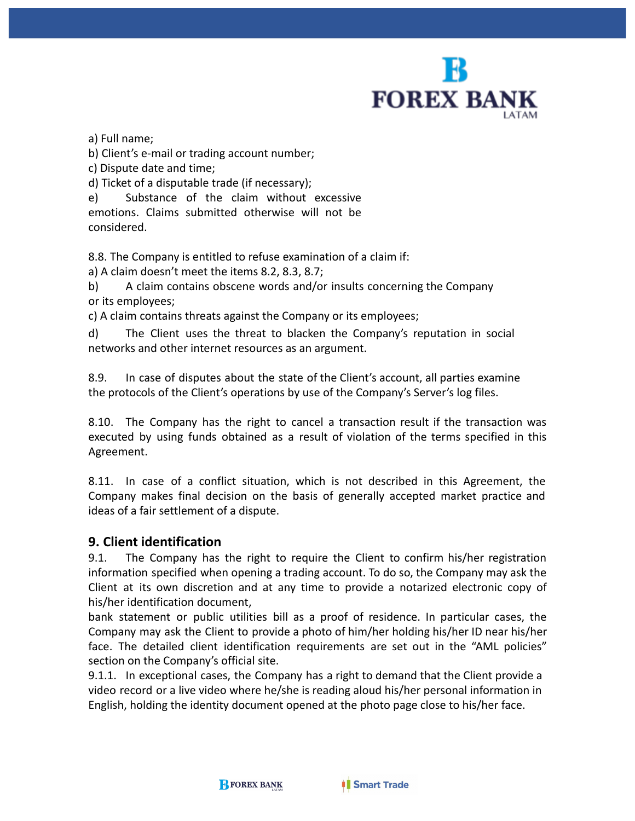

a) Full name;

b) Client's e-mail or trading account number;

c) Dispute date and time;

d) Ticket of a disputable trade (if necessary);

e) Substance of the claim without excessive emotions. Claims submitted otherwise will not be considered.

8.8. The Company is entitled to refuse examination of a claim if:

a) A claim doesn't meet the items 8.2, 8.3, 8.7;

b) A claim contains obscene words and/or insults concerning the Company or its employees;

c) A claim contains threats against the Company or its employees;

d) The Client uses the threat to blacken the Company's reputation in social networks and other internet resources as an argument.

8.9. In case of disputes about the state of the Client's account, all parties examine the protocols of the Client's operations by use of the Company's Server's log files.

8.10. The Company has the right to cancel a transaction result if the transaction was executed by using funds obtained as a result of violation of the terms specified in this Agreement.

8.11. In case of a conflict situation, which is not described in this Agreement, the Company makes final decision on the basis of generally accepted market practice and ideas of a fair settlement of a dispute.

## **9. Client identification**

9.1. The Company has the right to require the Client to confirm his/her registration information specified when opening a trading account. To do so, the Company may ask the Client at its own discretion and at any time to provide a notarized electronic copy of his/her identification document,

bank statement or public utilities bill as a proof of residence. In particular cases, the Company may ask the Client to provide a photo of him/her holding his/her ID near his/her face. The detailed client identification requirements are set out in the "AML policies" section on the Company's official site.

9.1.1. In exceptional cases, the Company has a right to demand that the Client provide a video record or a live video where he/she is reading aloud his/her personal information in English, holding the identity document opened at the photo page close to his/her face.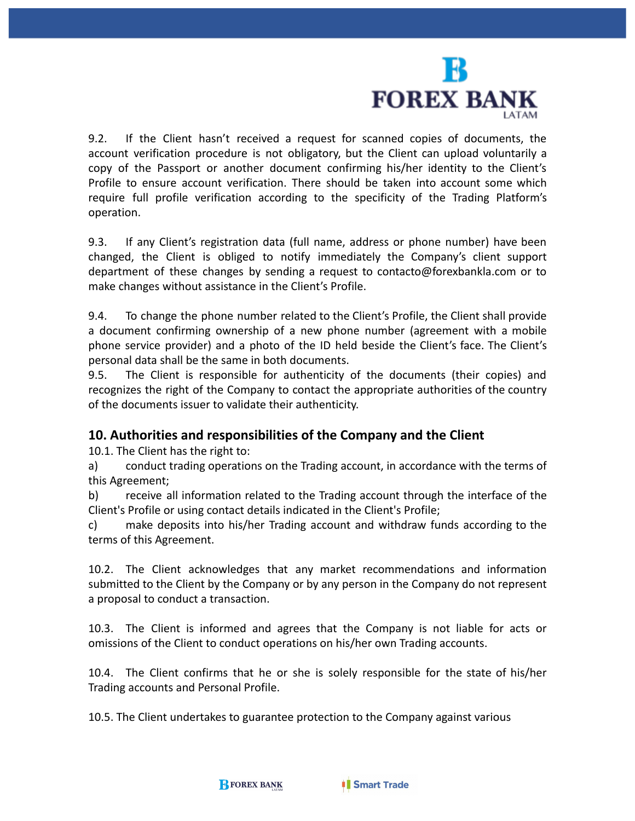

9.2. If the Client hasn't received a request for scanned copies of documents, the account verification procedure is not obligatory, but the Client can upload voluntarily a copy of the Passport or another document confirming his/her identity to the Client's Profile to ensure account verification. There should be taken into account some which require full profile verification according to the specificity of the Trading Platform's operation.

9.3. If any Client's registration data (full name, address or phone number) have been changed, the Client is obliged to notify immediately the Company's client support department of these changes by sending a request to [contacto@forexbankla.com](mailto:contacto@forexbankla.com) or to make changes without assistance in the Client's Profile.

9.4. To change the phone number related to the Client's Profile, the Client shall provide a document confirming ownership of a new phone number (agreement with a mobile phone service provider) and a photo of the ID held beside the Client's face. The Client's personal data shall be the same in both documents.

9.5. The Client is responsible for authenticity of the documents (their copies) and recognizes the right of the Company to contact the appropriate authorities of the country of the documents issuer to validate their authenticity.

## **10. Authorities and responsibilities of the Company and the Client**

10.1. The Client has the right to:

a) conduct trading operations on the Trading account, in accordance with the terms of this Agreement;

b) receive all information related to the Trading account through the interface of the Client's Profile or using contact details indicated in the Client's Profile;

c) make deposits into his/her Trading account and withdraw funds according to the terms of this Agreement.

10.2. The Client acknowledges that any market recommendations and information submitted to the Client by the Company or by any person in the Company do not represent a proposal to conduct a transaction.

10.3. The Client is informed and agrees that the Company is not liable for acts or omissions of the Client to conduct operations on his/her own Trading accounts.

10.4. The Client confirms that he or she is solely responsible for the state of his/her Trading accounts and Personal Profile.

10.5. The Client undertakes to guarantee protection to the Company against various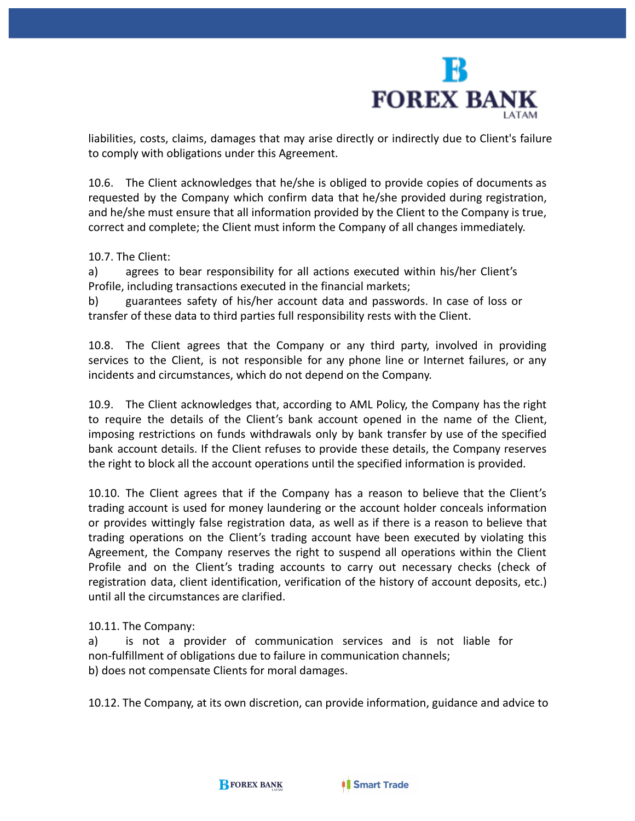

liabilities, costs, claims, damages that may arise directly or indirectly due to Client's failure to comply with obligations under this Agreement.

10.6. The Client acknowledges that he/she is obliged to provide copies of documents as requested by the Company which confirm data that he/she provided during registration, and he/she must ensure that all information provided by the Client to the Company is true, correct and complete; the Client must inform the Company of all changes immediately.

10.7. The Client:

a) agrees to bear responsibility for all actions executed within his/her Client's Profile, including transactions executed in the financial markets;

b) guarantees safety of his/her account data and passwords. In case of loss or transfer of these data to third parties full responsibility rests with the Client.

10.8. The Client agrees that the Company or any third party, involved in providing services to the Client, is not responsible for any phone line or Internet failures, or any incidents and circumstances, which do not depend on the Company.

10.9. The Client acknowledges that, according to AML Policy, the Company has the right to require the details of the Client's bank account opened in the name of the Client, imposing restrictions on funds withdrawals only by bank transfer by use of the specified bank account details. If the Client refuses to provide these details, the Company reserves the right to block all the account operations until the specified information is provided.

10.10. The Client agrees that if the Company has a reason to believe that the Client's trading account is used for money laundering or the account holder conceals information or provides wittingly false registration data, as well as if there is a reason to believe that trading operations on the Client's trading account have been executed by violating this Agreement, the Company reserves the right to suspend all operations within the Client Profile and on the Client's trading accounts to carry out necessary checks (check of registration data, client identification, verification of the history of account deposits, etc.) until all the circumstances are clarified.

#### 10.11. The Company:

a) is not a provider of communication services and is not liable for non-fulfillment of obligations due to failure in communication channels; b) does not compensate Clients for moral damages.

10.12. The Company, at its own discretion, can provide information, guidance and advice to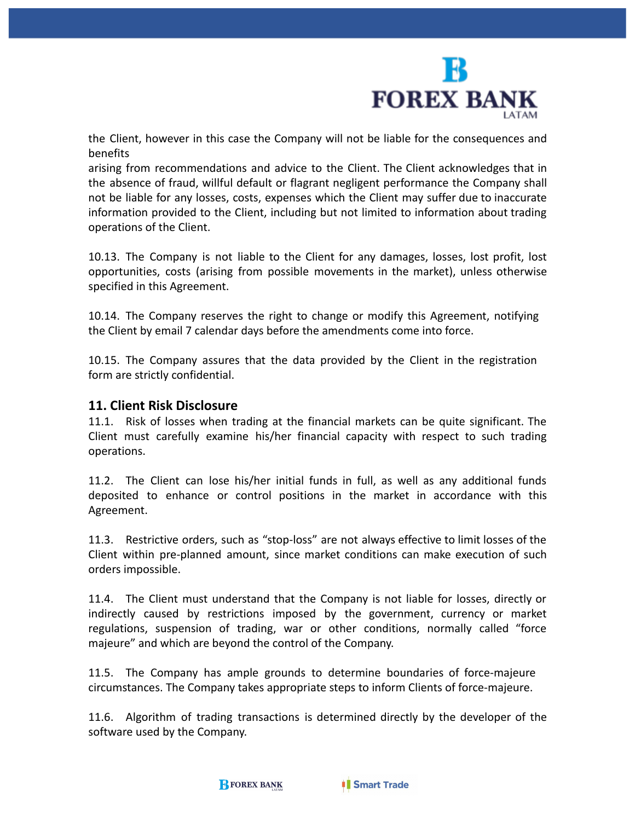

the Client, however in this case the Company will not be liable for the consequences and benefits

arising from recommendations and advice to the Client. The Client acknowledges that in the absence of fraud, willful default or flagrant negligent performance the Company shall not be liable for any losses, costs, expenses which the Client may suffer due to inaccurate information provided to the Client, including but not limited to information about trading operations of the Client.

10.13. The Company is not liable to the Client for any damages, losses, lost profit, lost opportunities, costs (arising from possible movements in the market), unless otherwise specified in this Agreement.

10.14. The Company reserves the right to change or modify this Agreement, notifying the Client by email 7 calendar days before the amendments come into force.

10.15. The Company assures that the data provided by the Client in the registration form are strictly confidential.

#### **11. Client Risk Disclosure**

11.1. Risk of losses when trading at the financial markets can be quite significant. The Client must carefully examine his/her financial capacity with respect to such trading operations.

11.2. The Client can lose his/her initial funds in full, as well as any additional funds deposited to enhance or control positions in the market in accordance with this Agreement.

11.3. Restrictive orders, such as "stop-loss" are not always effective to limit losses of the Client within pre-planned amount, since market conditions can make execution of such orders impossible.

11.4. The Client must understand that the Company is not liable for losses, directly or indirectly caused by restrictions imposed by the government, currency or market regulations, suspension of trading, war or other conditions, normally called "force majeure" and which are beyond the control of the Company.

11.5. The Company has ample grounds to determine boundaries of force-majeure circumstances. The Company takes appropriate steps to inform Clients of force-majeure.

11.6. Algorithm of trading transactions is determined directly by the developer of the software used by the Company.